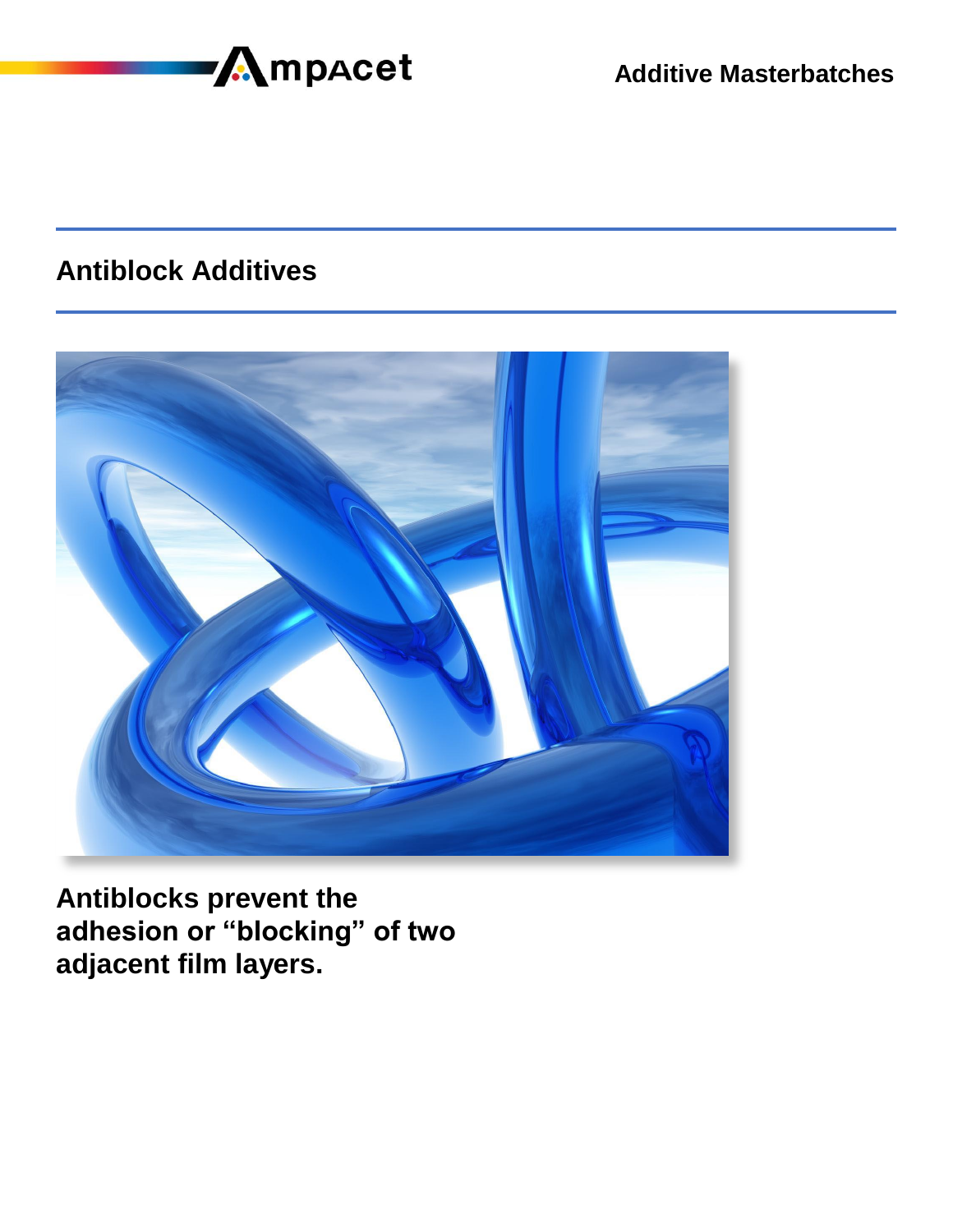

### **Antiblock Additives**



**Antiblocks prevent the adhesion or "blocking" of two adjacent film layers.**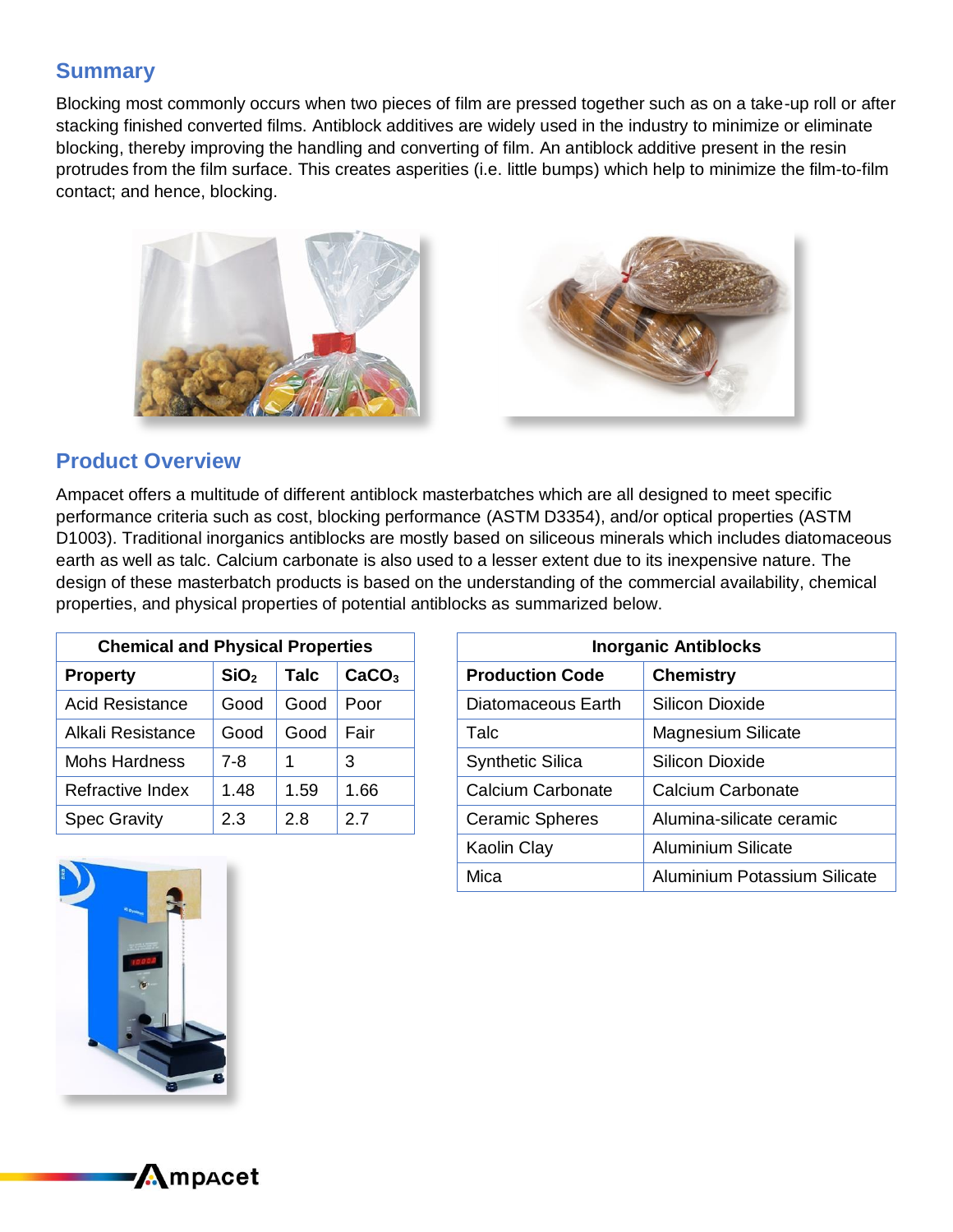### **Summary**

Blocking most commonly occurs when two pieces of film are pressed together such as on a take-up roll or after stacking finished converted films. Antiblock additives are widely used in the industry to minimize or eliminate blocking, thereby improving the handling and converting of film. An antiblock additive present in the resin protrudes from the film surface. This creates asperities (i.e. little bumps) which help to minimize the film-to-film contact; and hence, blocking.





#### **Product Overview**

Ampacet offers a multitude of different antiblock masterbatches which are all designed to meet specific performance criteria such as cost, blocking performance (ASTM D3354), and/or optical properties (ASTM D1003). Traditional inorganics antiblocks are mostly based on siliceous minerals which includes diatomaceous earth as well as talc. Calcium carbonate is also used to a lesser extent due to its inexpensive nature. The design of these masterbatch products is based on the understanding of the commercial availability, chemical properties, and physical properties of potential antiblocks as summarized below.

| <b>Chemical and Physical Properties</b> |                  |      |                   |  |  |
|-----------------------------------------|------------------|------|-------------------|--|--|
| <b>Property</b>                         | SiO <sub>2</sub> | Talc | CaCO <sub>3</sub> |  |  |
| <b>Acid Resistance</b>                  | Good             | Good | Poor              |  |  |
| Alkali Resistance                       | Good             | Good | Fair              |  |  |
| <b>Mohs Hardness</b>                    | 7-8              |      | 3                 |  |  |
| Refractive Index                        | 1.48             | 1.59 | 1.66              |  |  |
| <b>Spec Gravity</b>                     | 2.3              | 2.8  | 2.7               |  |  |

| <b>Inorganic Antiblocks</b> |                                     |  |  |
|-----------------------------|-------------------------------------|--|--|
| <b>Production Code</b>      | <b>Chemistry</b>                    |  |  |
| Diatomaceous Earth          | Silicon Dioxide                     |  |  |
| Talc                        | <b>Magnesium Silicate</b>           |  |  |
| <b>Synthetic Silica</b>     | Silicon Dioxide                     |  |  |
| Calcium Carbonate           | Calcium Carbonate                   |  |  |
| <b>Ceramic Spheres</b>      | Alumina-silicate ceramic            |  |  |
| Kaolin Clay                 | <b>Aluminium Silicate</b>           |  |  |
| Mica                        | <b>Aluminium Potassium Silicate</b> |  |  |



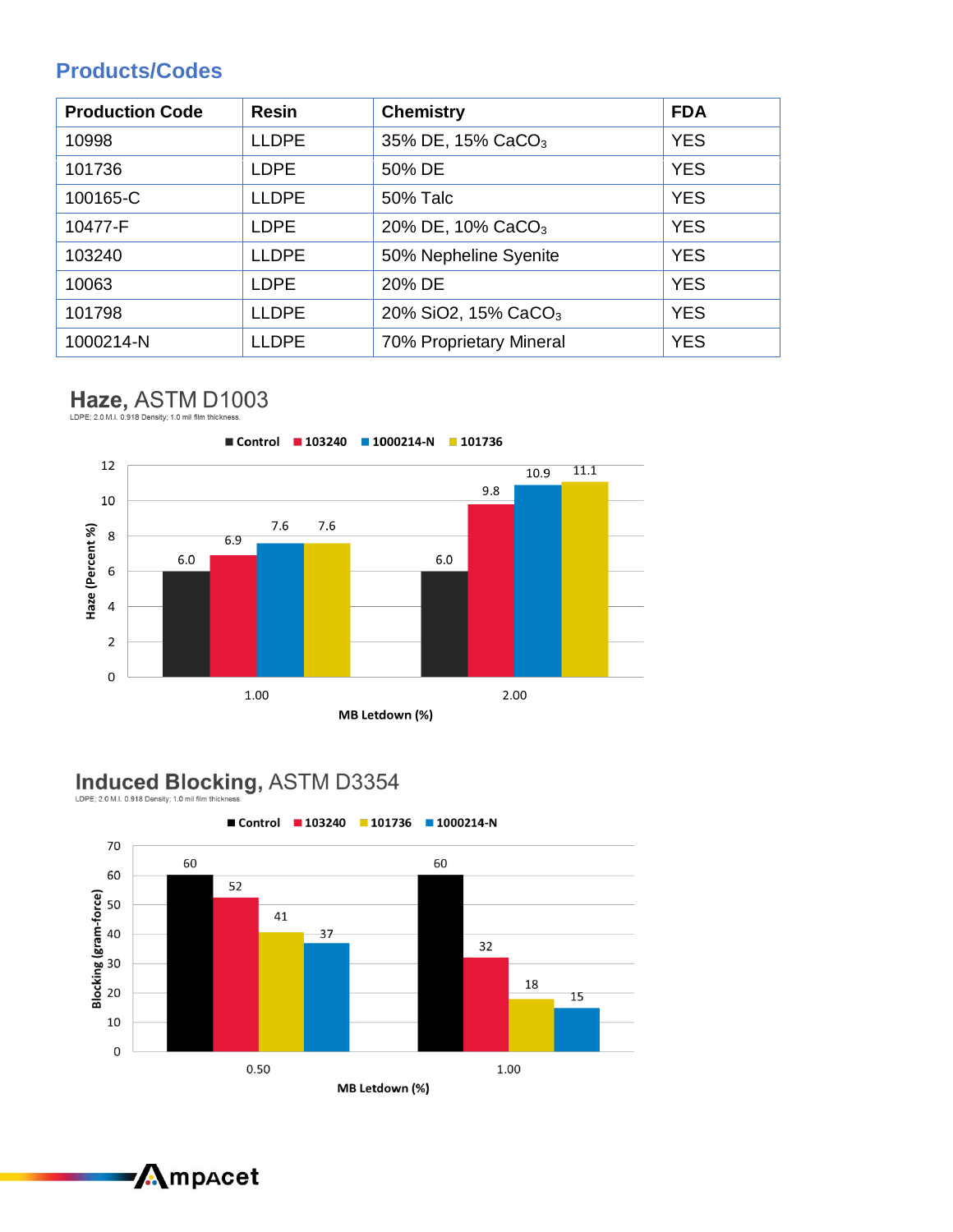### **Products/Codes**

| <b>Production Code</b> | <b>Resin</b> | <b>Chemistry</b>                | <b>FDA</b> |
|------------------------|--------------|---------------------------------|------------|
| 10998                  | <b>LLDPE</b> | 35% DE, 15% CaCO <sub>3</sub>   | <b>YES</b> |
| 101736                 | <b>LDPE</b>  | 50% DE                          | <b>YES</b> |
| 100165-C               | <b>LLDPE</b> | <b>50% Talc</b>                 | <b>YES</b> |
| 10477-F                | <b>LDPE</b>  | 20% DE, 10% CaCO <sub>3</sub>   | <b>YES</b> |
| 103240                 | <b>LLDPE</b> | 50% Nepheline Syenite           | <b>YES</b> |
| 10063                  | <b>LDPE</b>  | 20% DE                          | <b>YES</b> |
| 101798                 | <b>LLDPE</b> | 20% SiO2, 15% CaCO <sub>3</sub> | <b>YES</b> |
| 1000214-N              | <b>LLDPE</b> | 70% Proprietary Mineral         | <b>YES</b> |

# Haze, ASTM D1003



# Induced Blocking, ASTM D3354